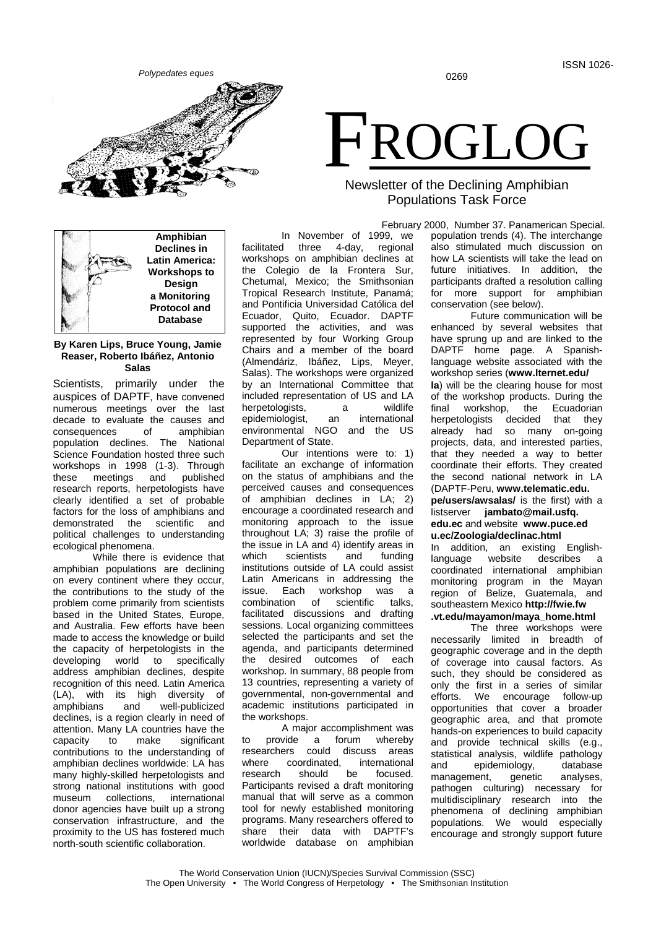0269



**Amphibian Declines in Latin America: Workshops to Design a Monitoring Protocol and Database**

# **By Karen Lips, Bruce Young, Jamie Reaser, Roberto Ibáñez, Antonio Salas**

Scientists, primarily under the auspices of DAPTF, have convened numerous meetings over the last decade to evaluate the causes and consequences of amphibian population declines. The National Science Foundation hosted three such workshops in 1998 (1-3). Through<br>these meetings and published published research reports, herpetologists have clearly identified a set of probable factors for the loss of amphibians and demonstrated the scientific and political challenges to understanding ecological phenomena.

While there is evidence that amphibian populations are declining on every continent where they occur, the contributions to the study of the problem come primarily from scientists based in the United States, Europe, and Australia. Few efforts have been made to access the knowledge or build the capacity of herpetologists in the developing world to specifically address amphibian declines, despite recognition of this need. Latin America (LA), with its high diversity of amphibians and well-publicized well-publicized declines, is a region clearly in need of attention. Many LA countries have the capacity to make significant contributions to the understanding of amphibian declines worldwide: LA has many highly-skilled herpetologists and strong national institutions with good<br>museum collections, international museum collections, donor agencies have built up a strong conservation infrastructure, and the proximity to the US has fostered much north-south scientific collaboration.

In November of 1999, we<br>facilitated three 4-day, regional 4-day, regional workshops on amphibian declines at the Colegio de la Frontera Sur, Chetumal, Mexico; the Smithsonian Tropical Research Institute, Panamá; and Pontificia Universidad Católica del Ecuador, Quito, Ecuador. DAPTF supported the activities, and was represented by four Working Group Chairs and a member of the board (Almendáriz, Ibáñez, Lips, Meyer, Salas). The workshops were organized by an International Committee that included representation of US and LA herpetologists, a wildlife<br>epidemiologist, an international epidemiologist, an environmental NGO and the US Department of State.

Our intentions were to: 1) facilitate an exchange of information on the status of amphibians and the perceived causes and consequences of amphibian declines in LA; 2) encourage a coordinated research and monitoring approach to the issue throughout LA; 3) raise the profile of the issue in LA and 4) identify areas in<br>which scientists and funding scientists institutions outside of LA could assist Latin Americans in addressing the<br>issue. Each workshop was a ۱ Each workshop<br>Ation of scientific combination of scientific talks, facilitated discussions and drafting sessions. Local organizing committees selected the participants and set the agenda, and participants determined the desired outcomes of each workshop. In summary, 88 people from 13 countries, representing a variety of governmental, non-governmental and academic institutions participated in the workshops.

A major accomplishment was to provide a forum whereby researchers could discuss areas<br>where coordinated international where coordinated,<br>research should be focused. Participants revised a draft monitoring manual that will serve as a common tool for newly established monitoring programs. Many researchers offered to share their data with DAPTF's worldwide database on amphibian

# FROGLOG

# Newsletter of the Declining Amphibian Populations Task Force

 February 2000, Number 37. Panamerican Special. population trends (4). The interchange also stimulated much discussion on how LA scientists will take the lead on future initiatives. In addition, the participants drafted a resolution calling for more support for amphibian conservation (see below).

Future communication will be enhanced by several websites that have sprung up and are linked to the DAPTF home page. A Spanishlanguage website associated with the workshop series (**www.lternet.edu/ la**) will be the clearing house for most of the workshop products. During the final workshop, the Ecuadorian<br>herpetologists decided that they decided that they already had so many on-going projects, data, and interested parties, that they needed a way to better coordinate their efforts. They created the second national network in LA (DAPTF-Peru, **www.telematic.edu. pe/users/awsalas/** is the first) with a listserver **jambato@mail.usfq. edu.ec** and website **www.puce.ed u.ec/Zoologia/declinac.html**

In addition, an existing English-<br>language website describes a language website describes a coordinated international amphibian monitoring program in the Mayan region of Belize, Guatemala, and southeastern Mexico **http://fwie.fw**

**.vt.edu/mayamon/maya\_home.html** The three workshops were necessarily limited in breadth of geographic coverage and in the depth of coverage into causal factors. As such, they should be considered as only the first in a series of similar efforts. We encourage follow-up opportunities that cover a broader geographic area, and that promote hands-on experiences to build capacity and provide technical skills (e.g., statistical analysis, wildlife pathology and epidemiology, database<br>management, genetic analyses, management, genetic analyses, pathogen culturing) necessary for multidisciplinary research into the<br>phenomena of declining amphibian phenomena of declining populations. We would especially encourage and strongly support future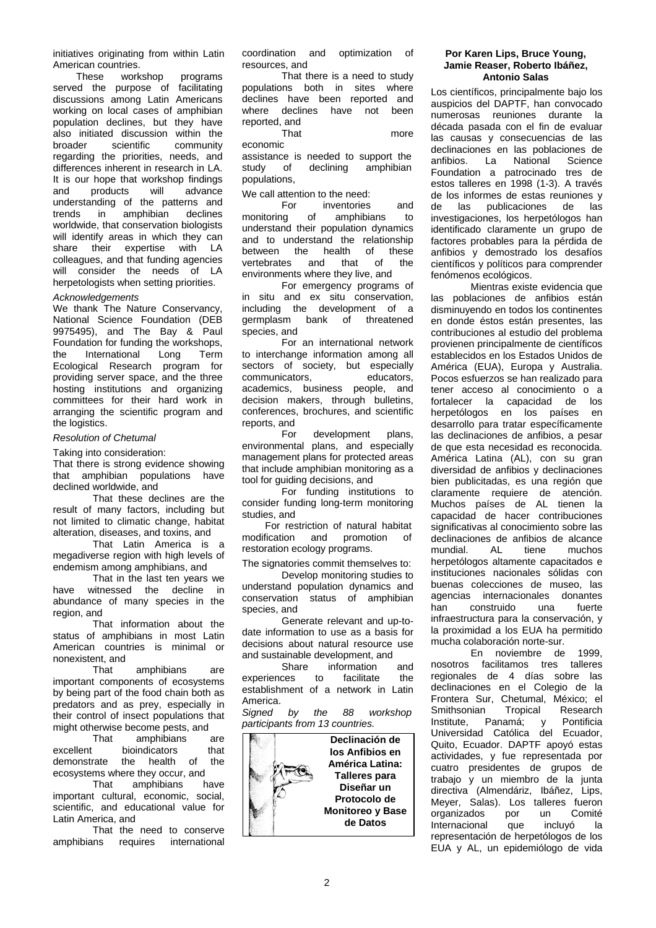initiatives originating from within Latin American countries.<br>These work

workshop programs served the purpose of facilitating discussions among Latin Americans working on local cases of amphibian population declines, but they have also initiated discussion within the<br>broader scientific community broader scientific community regarding the priorities, needs, and differences inherent in research in LA. It is our hope that workshop findings<br>and products will advance products understanding of the patterns and<br>trends in amphibian declines amphibian worldwide, that conservation biologists will identify areas in which they can<br>share their expertise with LA expertise with LA colleagues, and that funding agencies will consider the needs of LA herpetologists when setting priorities.

# *Acknowledgements*

We thank The Nature Conservancy, National Science Foundation (DEB 9975495), and The Bay & Paul Foundation for funding the workshops, the International Long Term Ecological Research program for providing server space, and the three hosting institutions and organizing committees for their hard work in arranging the scientific program and the logistics.

# *Resolution of Chetumal*

Taking into consideration:

That there is strong evidence showing that amphibian populations have declined worldwide, and

That these declines are the result of many factors, including but not limited to climatic change, habitat alteration, diseases, and toxins, and

That Latin America is a megadiverse region with high levels of endemism among amphibians, and

That in the last ten years we have witnessed the decline in abundance of many species in the region, and

That information about the status of amphibians in most Latin American countries is minimal or nonexistent, and

That amphibians are important components of ecosystems by being part of the food chain both as predators and as prey, especially in their control of insect populations that might otherwise become pests, and

That amphibians are excellent bioindicators that<br>demonstrate the health of the demonstrate ecosystems where they occur, and

That amphibians have important cultural, economic, social, scientific, and educational value for Latin America, and

That the need to conserve<br>amphibians requires international international coordination and optimization of resources, and

That there is a need to study populations both in sites where declines have been reported and where declines have not been reported, and

more

assistance is needed to support the<br>study of declining amphibian declining populations,

We call attention to the need:

economic

For inventories and<br>monitoring of amphibians to amphibians understand their population dynamics and to understand the relationship<br>between the health of these between the health of<br>vertebrates and that of vertebrates and that of the environments where they live, and

For emergency programs of in situ and ex situ conservation, including the development of a<br>germplasm bank of threatened bank of threatened species, and

For an international network to interchange information among all sectors of society, but especially<br>communicators. educators. communicators. academics, business people, and decision makers, through bulletins, conferences, brochures, and scientific reports, and<br>For

development plans, environmental plans, and especially management plans for protected areas that include amphibian monitoring as a tool for guiding decisions, and

For funding institutions to consider funding long-term monitoring studies, and

For restriction of natural habitat modification and promotion of restoration ecology programs.

The signatories commit themselves to: Develop monitoring studies to understand population dynamics and conservation status of amphibian species, and

Generate relevant and up-todate information to use as a basis for decisions about natural resource use

and sustainable development, and<br>Share information information and<br>facilitate the experiences to establishment of a network in Latin

America.<br>Signed by the 88 workshop *participants from 13 countries.*



### **Por Karen Lips, Bruce Young, Jamie Reaser, Roberto Ibáñez, Antonio Salas**

Los científicos, principalmente bajo los auspicios del DAPTF, han convocado numerosas reuniones durante la década pasada con el fin de evaluar las causas y consecuencias de las declinaciones en las poblaciones de<br>anfibios. La National Science La National Foundation a patrocinado tres de estos talleres en 1998 (1-3). A través de los informes de estas reuniones y<br>de las publicaciones de las publicaciones investigaciones, los herpetólogos han identificado claramente un grupo de factores probables para la pérdida de anfibios y demostrado los desafíos científicos y políticos para comprender fenómenos ecológicos.

Mientras existe evidencia que las poblaciones de anfibios están disminuyendo en todos los continentes en donde éstos están presentes, las contribuciones al estudio del problema provienen principalmente de científicos establecidos en los Estados Unidos de América (EUA), Europa y Australia. Pocos esfuerzos se han realizado para tener acceso al conocimiento o a<br>fortalecer la capacidad de los fortalecer la capacidad de herpetólogos en los países en desarrollo para tratar específicamente las declinaciones de anfibios, a pesar de que esta necesidad es reconocida. América Latina (AL), con su gran diversidad de anfibios y declinaciones bien publicitadas, es una región que claramente requiere de atención. Muchos países de AL tienen la capacidad de hacer contribuciones significativas al conocimiento sobre las declinaciones de anfibios de alcance mundial. AL tiene muchos herpetólogos altamente capacitados e instituciones nacionales sólidas con buenas colecciones de museo, las agencias internacionales donantes<br>han construido una fuerte han construido infraestructura para la conservación, y la proximidad a los EUA ha permitido mucha colaboración norte-sur.

En noviembre de 1999, nosotros facilitamos tres talleres regionales de 4 días sobre las declinaciones en el Colegio de la Frontera Sur, Chetumal, México; el Smithsonian Tropical Research<br>Institute. Panamá: v Pontificia Panamá; y Universidad Católica del Ecuador, Quito, Ecuador. DAPTF apoyó estas actividades, y fue representada por cuatro presidentes de grupos de trabajo y un miembro de la junta directiva (Almendáriz, Ibáñez, Lips, Meyer, Salas). Los talleres fueron<br>organizados por un Comité organizados Internacional que incluyó la representación de herpetólogos de los EUA y AL, un epidemiólogo de vida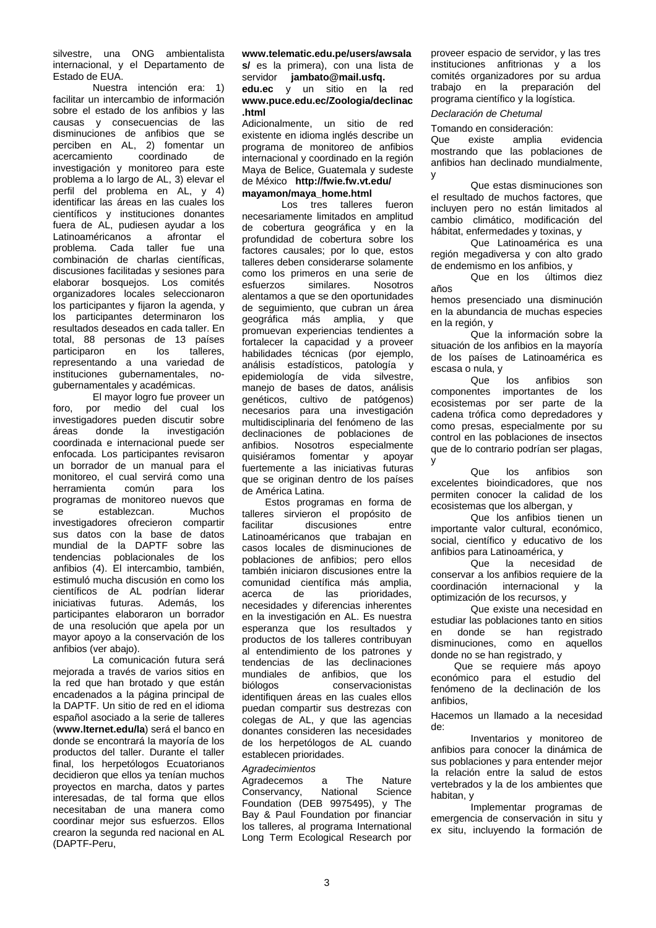silvestre, una ONG ambientalista internacional, y el Departamento de Estado de EUA.

Nuestra intención era: 1) facilitar un intercambio de información sobre el estado de los anfibios y las causas y consecuencias de las disminuciones de anfibios que se perciben en AL, 2) fomentar un<br>acercamiento coordinado de acercamiento investigación y monitoreo para este problema a lo largo de AL, 3) elevar el perfil del problema en AL, y 4) identificar las áreas en las cuales los científicos y instituciones donantes fuera de AL, pudiesen ayudar a los Latinoaméricanos a afrontar el problema. Cada taller fue una combinación de charlas científicas, discusiones facilitadas y sesiones para elaborar bosquejos. Los comités organizadores locales seleccionaron los participantes y fijaron la agenda, y los participantes determinaron los resultados deseados en cada taller. En total, 88 personas de 13 países<br>participaron en los talleres, participaron en representando a una variedad de instituciones gubernamentales, nogubernamentales y académicas.

El mayor logro fue proveer un foro, por medio del cual los investigadores pueden discutir sobre áreas donde la investigación coordinada e internacional puede ser enfocada. Los participantes revisaron un borrador de un manual para el monitoreo, el cual servirá como una<br>herramienta común para los herramienta común para los programas de monitoreo nuevos que<br>se establezcan Muchos se establezcan. investigadores ofrecieron compartir sus datos con la base de datos mundial de la DAPTF sobre las tendencias poblacionales de los anfibios (4). El intercambio, también, estimuló mucha discusión en como los científicos de AL podrían liderar iniciativas futuras. Además, los participantes elaboraron un borrador de una resolución que apela por un mayor apoyo a la conservación de los anfibios (ver abajo).

La comunicación futura será mejorada a través de varios sitios en la red que han brotado y que están encadenados a la página principal de la DAPTF. Un sitio de red en el idioma español asociado a la serie de talleres (**www.lternet.edu/la**) será el banco en donde se encontrará la mayoría de los productos del taller. Durante el taller final, los herpetólogos Ecuatorianos decidieron que ellos ya tenían muchos proyectos en marcha, datos y partes interesadas, de tal forma que ellos necesitaban de una manera como coordinar mejor sus esfuerzos. Ellos crearon la segunda red nacional en AL (DAPTF-Peru,

# **www.telematic.edu.pe/users/awsala s/** es la primera), con una lista de servidor **jambato@mail.usfq. edu.ec** y un sitio en la red **www.puce.edu.ec/Zoologia/declinac .html**

Adicionalmente, un sitio de red existente en idioma inglés describe un programa de monitoreo de anfibios internacional y coordinado en la región Maya de Belice, Guatemala y sudeste de México **http://fwie.fw.vt.edu/ mayamon/maya\_home.html**

Los tres talleres fueron necesariamente limitados en amplitud de cobertura geográfica y en la profundidad de cobertura sobre los factores causales; por lo que, estos talleres deben considerarse solamente como los primeros en una serie de similares. alentamos a que se den oportunidades de seguimiento, que cubran un área geográfica más amplia, y que promuevan experiencias tendientes a fortalecer la capacidad y a proveer habilidades técnicas (por ejemplo, análisis estadísticos, patología y epidemiología de vida silvestre, manejo de bases de datos, análisis genéticos, cultivo de patógenos) necesarios para una investigación multidisciplinaria del fenómeno de las declinaciones de poblaciones de<br>anfibios. Nosotros especialmente anfibios. Nosotros quisiéramos fomentar y apoyar fuertemente a las iniciativas futuras que se originan dentro de los países de América Latina.

Estos programas en forma de talleres sirvieron el propósito de discusiones Latinoaméricanos que trabajan en casos locales de disminuciones de poblaciones de anfibios; pero ellos también iniciaron discusiones entre la comunidad científica más amplia,<br>acerca de las prioridades. prioridades, necesidades y diferencias inherentes en la investigación en AL. Es nuestra esperanza que los resultados y productos de los talleres contribuyan al entendimiento de los patrones y tendencias de las declinaciones<br>mundiales de anfibios, que los mundiales de anfibios, que los<br>biólogos conservacionistas conservacionistas identifiquen áreas en las cuales ellos puedan compartir sus destrezas con colegas de AL, y que las agencias donantes consideren las necesidades de los herpetólogos de AL cuando establecen prioridades.

# *Agradecimientos*

Agradecemos a The Nature<br>Conservancy, National Science Conservancy, Foundation (DEB 9975495), y The Bay & Paul Foundation por financiar los talleres, al programa International Long Term Ecological Research por proveer espacio de servidor, y las tres instituciones anfitrionas y a los comités organizadores por su ardua trabajo en la preparación del programa científico y la logística.

# *Declaración de Chetumal*

Tomando en consideración:<br>Que existe amplia evidencia mostrando que las poblaciones de anfibios han declinado mundialmente, y

Que estas disminuciones son el resultado de muchos factores, que incluyen pero no están limitados al cambio climático, modificación del hábitat, enfermedades y toxinas, y

Que Latinoamérica es una región megadiversa y con alto grado de endemismo en los anfibios, y<br>Que en los últimos diez

Que en los años

hemos presenciado una disminución en la abundancia de muchas especies en la región, y

Que la información sobre la situación de los anfibios en la mayoría de los países de Latinoamérica es escasa o nula, y<br>Que

los anfibios son componentes importantes de los ecosistemas por ser parte de la cadena trófica como depredadores y como presas, especialmente por su control en las poblaciones de insectos que de lo contrario podrían ser plagas, y

Que los anfibios son excelentes bioindicadores, que nos permiten conocer la calidad de los ecosistemas que los albergan, y

Que los anfibios tienen un importante valor cultural, económico, social, científico y educativo de los anfibios para Latinoamérica, y<br>Que la necesid

necesidad de conservar a los anfibios requiere de la coordinación internacional y la optimización de los recursos, y

Que existe una necesidad en estudiar las poblaciones tanto en sitios en donde se han registrado disminuciones, como en aquellos donde no se han registrado, y

Que se requiere más apoyo económico para el estudio del fenómeno de la declinación de los anfibios,

Hacemos un llamado a la necesidad de:

Inventarios y monitoreo de anfibios para conocer la dinámica de sus poblaciones y para entender mejor la relación entre la salud de estos vertebrados y la de los ambientes que habitan, y

Implementar programas de emergencia de conservación in situ y ex situ, incluyendo la formación de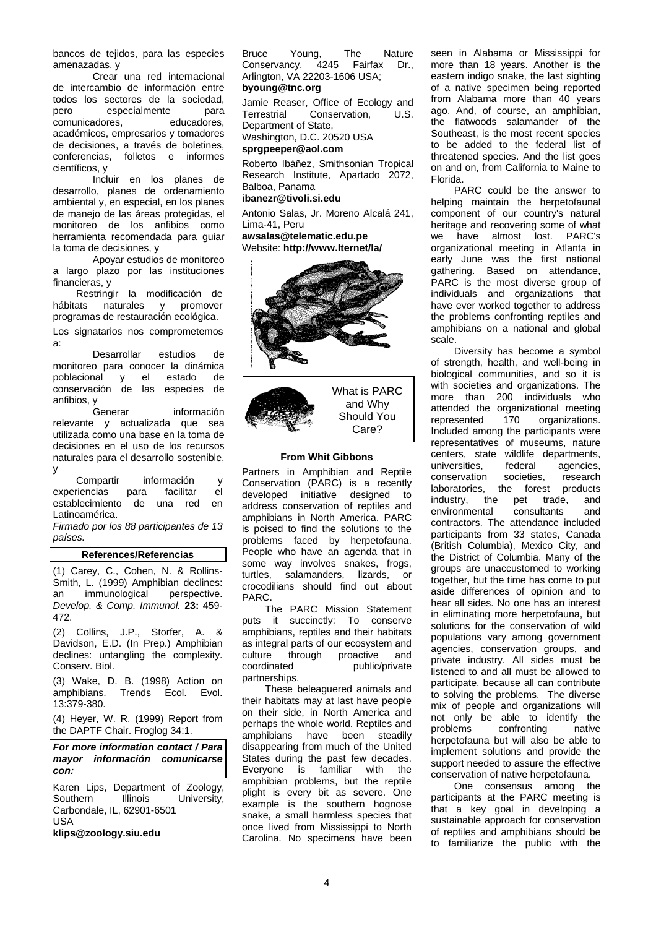bancos de tejidos, para las especies amenazadas, y

Crear una red internacional de intercambio de información entre todos los sectores de la sociedad,<br>pero especialmente para especialmente para<br>
res, educadores, comunicadores, académicos, empresarios y tomadores de decisiones, a través de boletines, conferencias, folletos e informes científicos, y

Incluir en los planes de desarrollo, planes de ordenamiento ambiental y, en especial, en los planes de manejo de las áreas protegidas, el monitoreo de los anfibios como herramienta recomendada para guiar la toma de decisiones, y

Apoyar estudios de monitoreo a largo plazo por las instituciones financieras, y

Restringir la modificación de<br>hábitats naturales y promover promover programas de restauración ecológica.

Los signatarios nos comprometemos a:

Desarrollar estudios de monitoreo para conocer la dinámica<br>poblacional v el estado de poblacional y el conservación de las especies de anfibios, y

información relevante y actualizada que sea utilizada como una base en la toma de decisiones en el uso de los recursos naturales para el desarrollo sostenible, y

Compartir información y<br>riencias para facilitar el experiencias establecimiento de una red en Latinoamérica.

*Firmado por los 88 participantes de 13 países.*

# **References/Referencias**

(1) Carey, C., Cohen, N. & Rollins-Smith, L. (1999) Amphibian declines:<br>an immunological perspective. immunological *Develop. & Comp. Immunol.* **23:** 459- 472.

(2) Collins, J.P., Storfer, A. & Davidson, E.D. (In Prep.) Amphibian declines: untangling the complexity. Conserv. Biol.

(3) Wake, D. B. (1998) Action on Trends Ecol. Evol. 13:379-380.

(4) Heyer, W. R. (1999) Report from the DAPTF Chair. Froglog 34:1.

*For more information contact / Para mayor información comunicarse con:*

Karen Lips, Department of Zoology,<br>Southern Illinois University. University, Carbondale, IL, 62901-6501 USA

**klips@zoology.siu.edu**

Bruce Young, The Nature<br>Conservancy, 4245 Fairfax Dr., Conservancy, 4245 Fairfax Arlington, VA 22203-1606 USA; **byoung@tnc.org**

Jamie Reaser, Office of Ecology and<br>Terrestrial Conservation. U.S. Conservation. Department of State,

Washington, D.C. 20520 USA **sprgpeeper@aol.com**

Roberto Ibáñez, Smithsonian Tropical Research Institute, Apartado 2072, Balboa, Panama

**ibanezr@tivoli.si.edu**

Antonio Salas, Jr. Moreno Alcalá 241, Lima-41, Peru

**awsalas@telematic.edu.pe** Website: **http://www.lternet/la/**





### **From Whit Gibbons**

Partners in Amphibian and Reptile Conservation (PARC) is a recently developed initiative designed to address conservation of reptiles and amphibians in North America. PARC is poised to find the solutions to the problems faced by herpetofauna. People who have an agenda that in some way involves snakes, frogs, turtles, salamanders, lizards, or crocodilians should find out about PARC.

The PARC Mission Statement puts it succinctly: To conserve amphibians, reptiles and their habitats as integral parts of our ecosystem and culture through proactive and<br>coordinated public/private public/private partnerships.

These beleaguered animals and their habitats may at last have people on their side, in North America and perhaps the whole world. Reptiles and amphibians have been steadily disappearing from much of the United States during the past few decades. Everyone is familiar with the amphibian problems, but the reptile plight is every bit as severe. One example is the southern hognose snake, a small harmless species that once lived from Mississippi to North Carolina. No specimens have been seen in Alabama or Mississippi for more than 18 years. Another is the eastern indigo snake, the last sighting of a native specimen being reported from Alabama more than 40 years ago. And, of course, an amphibian, the flatwoods salamander of the Southeast, is the most recent species to be added to the federal list of threatened species. And the list goes on and on, from California to Maine to Florida.

PARC could be the answer to helping maintain the herpetofaunal component of our country's natural heritage and recovering some of what we have almost lost. PARC's organizational meeting in Atlanta in early June was the first national gathering. Based on attendance, PARC is the most diverse group of individuals and organizations that have ever worked together to address the problems confronting reptiles and amphibians on a national and global scale.

Diversity has become a symbol of strength, health, and well-being in biological communities, and so it is with societies and organizations. The more than 200 individuals who attended the organizational meeting<br>represented 170 organizations. represented 170 organizations. Included among the participants were representatives of museums, nature centers, state wildlife departments,<br>universities federal agencies universities, federal agencies,<br>conservation societies, research conservation societies, research<br>laboratories, the forest products laboratories, the forest industry, the pet trade, and<br>environmental consultants and environmental contractors. The attendance included participants from 33 states, Canada (British Columbia), Mexico City, and the District of Columbia. Many of the groups are unaccustomed to working together, but the time has come to put aside differences of opinion and to hear all sides. No one has an interest in eliminating more herpetofauna, but solutions for the conservation of wild populations vary among government agencies, conservation groups, and private industry. All sides must be listened to and all must be allowed to participate, because all can contribute to solving the problems. The diverse mix of people and organizations will not only be able to identify the problems confronting native herpetofauna but will also be able to implement solutions and provide the support needed to assure the effective conservation of native herpetofauna.

One consensus among the participants at the PARC meeting is that a key goal in developing a sustainable approach for conservation of reptiles and amphibians should be to familiarize the public with the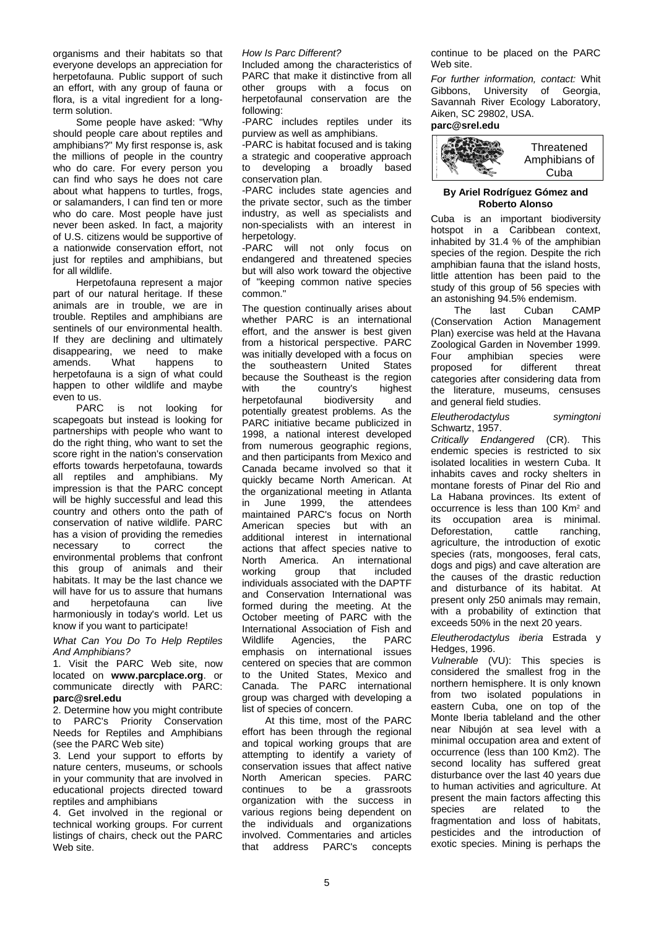organisms and their habitats so that everyone develops an appreciation for herpetofauna. Public support of such an effort, with any group of fauna or flora, is a vital ingredient for a longterm solution.

Some people have asked: "Why should people care about reptiles and amphibians?" My first response is, ask the millions of people in the country who do care. For every person you can find who says he does not care about what happens to turtles, frogs, or salamanders, I can find ten or more who do care. Most people have just never been asked. In fact, a majority of U.S. citizens would be supportive of a nationwide conservation effort, not just for reptiles and amphibians, but for all wildlife.

Herpetofauna represent a major part of our natural heritage. If these animals are in trouble, we are in trouble. Reptiles and amphibians are sentinels of our environmental health. If they are declining and ultimately disappearing, we need to make<br>amends. What happens to amends. What happens to herpetofauna is a sign of what could happen to other wildlife and maybe even to us.

PARC is not looking for scapegoats but instead is looking for partnerships with people who want to do the right thing, who want to set the score right in the nation's conservation efforts towards herpetofauna, towards all reptiles and amphibians. My impression is that the PARC concept will be highly successful and lead this country and others onto the path of conservation of native wildlife. PARC has a vision of providing the remedies<br>
necessary to correct the necessary to correct the environmental problems that confront this group of animals and their habitats. It may be the last chance we will have for us to assure that humans and herpetofauna can live harmoniously in today's world. Let us know if you want to participate!

*What Can You Do To Help Reptiles And Amphibians?*

1. Visit the PARC Web site, now located on **www.parcplace.org**. or communicate directly with PARC: **parc@srel.edu**

2. Determine how you might contribute to PARC's Priority Conservation Needs for Reptiles and Amphibians (see the PARC Web site)

3. Lend your support to efforts by nature centers, museums, or schools in your community that are involved in educational projects directed toward reptiles and amphibians

4. Get involved in the regional or technical working groups. For current listings of chairs, check out the PARC Web site.

### *How Is Parc Different?*

Included among the characteristics of PARC that make it distinctive from all other groups with a focus on herpetofaunal conservation are the following:

-PARC includes reptiles under its purview as well as amphibians.

-PARC is habitat focused and is taking a strategic and cooperative approach<br>to developing a broadly based developing a broadly based conservation plan.

-PARC includes state agencies and the private sector, such as the timber industry, as well as specialists and non-specialists with an interest in herpetology.

-PARC will not only focus on endangered and threatened species but will also work toward the objective of "keeping common native species common."

The question continually arises about whether PARC is an international effort, and the answer is best given from a historical perspective. PARC was initially developed with a focus on<br>the southeastern United States southeastern United because the Southeast is the region with the country's highest<br>herpetofaunal biodiversity and herpetofaunal biodiversity and potentially greatest problems. As the PARC initiative became publicized in 1998, a national interest developed from numerous geographic regions, and then participants from Mexico and Canada became involved so that it quickly became North American. At the organizational meeting in Atlanta<br>in June 1999, the attendees in June 1999, the attendees maintained PARC's focus on North American species but with an additional interest in international actions that affect species native to North America. An international working group that included individuals associated with the DAPTF and Conservation International was formed during the meeting. At the October meeting of PARC with the International Association of Fish and<br>Wildlife Agencies, the PARC Agencies, emphasis on international issues centered on species that are common to the United States, Mexico and Canada. The PARC international group was charged with developing a list of species of concern.

At this time, most of the PARC effort has been through the regional and topical working groups that are attempting to identify a variety of conservation issues that affect native North American species. PARC continues to be a grassroots organization with the success in various regions being dependent on the individuals and organizations involved. Commentaries and articles that address PARC's concepts continue to be placed on the PARC Web site.

*For further information, contact:* Whit Gibbons, University of Georgia, Savannah River Ecology Laboratory, Aiken, SC 29802, USA.

**parc@srel.edu**



### **By Ariel Rodríguez Gómez and Roberto Alonso**

Cuba is an important biodiversity hotspot in a Caribbean context, inhabited by 31.4 % of the amphibian species of the region. Despite the rich amphibian fauna that the island hosts, little attention has been paid to the study of this group of 56 species with an astonishing 94.5% endemism.

The last Cuban CAMP (Conservation Action Management Plan) exercise was held at the Havana Zoological Garden in November 1999. Four amphibian species were<br>proposed for different threat proposed for different threat categories after considering data from the literature, museums, censuses and general field studies.

*Eleutherodactylus symingtoni* Schwartz, 1957.

*Critically Endangered* (CR). This endemic species is restricted to six isolated localities in western Cuba. It inhabits caves and rocky shelters in montane forests of Pinar del Rio and La Habana provinces. Its extent of occurrence is less than 100 Km<sup>2</sup> and<br>its occupation area is minimal. occupation area is minimal.<br>
orestation. cattle ranching. Deforestation, agriculture, the introduction of exotic species (rats, mongooses, feral cats, dogs and pigs) and cave alteration are the causes of the drastic reduction and disturbance of its habitat. At present only 250 animals may remain, with a probability of extinction that exceeds 50% in the next 20 years.

*Eleutherodactylus iberia* Estrada y Hedges, 1996.

*Vulnerable* (VU): This species is considered the smallest frog in the northern hemisphere. It is only known from two isolated populations in eastern Cuba, one on top of the Monte Iberia tableland and the other near Nibujón at sea level with a minimal occupation area and extent of occurrence (less than 100 Km2). The second locality has suffered great disturbance over the last 40 years due to human activities and agriculture. At present the main factors affecting this species are related to the fragmentation and loss of habitats, pesticides and the introduction of exotic species. Mining is perhaps the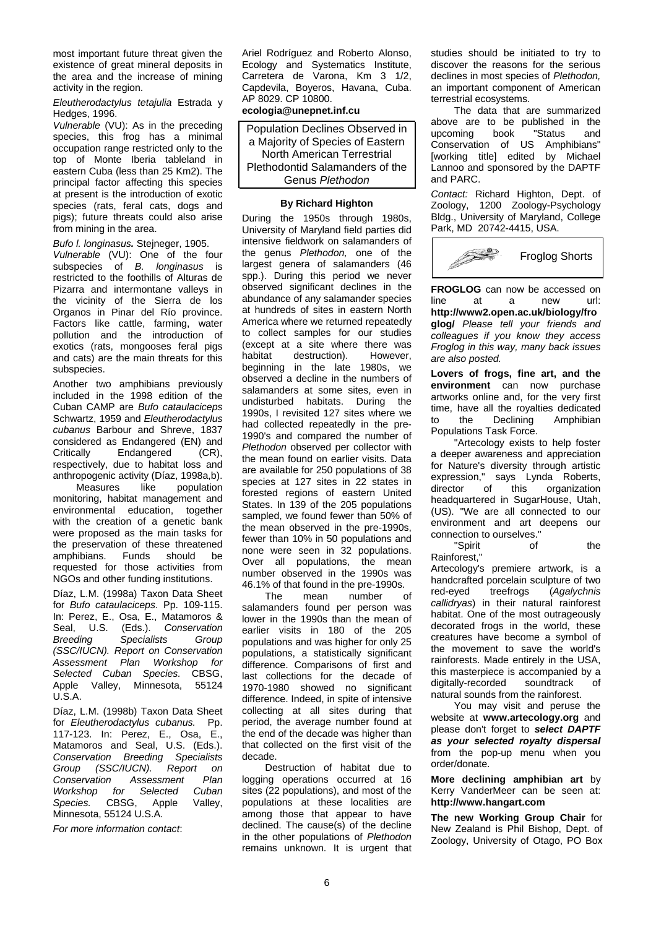most important future threat given the existence of great mineral deposits in the area and the increase of mining activity in the region.

*Eleutherodactylus tetajulia* Estrada y Hedges, 1996.

*Vulnerable* (VU): As in the preceding species, this frog has a minimal occupation range restricted only to the top of Monte Iberia tableland in eastern Cuba (less than 25 Km2). The principal factor affecting this species at present is the introduction of exotic species (rats, feral cats, dogs and pigs); future threats could also arise from mining in the area.

*Bufo l. longinasus.* Stejneger, 1905.

*Vulnerable* (VU): One of the four subspecies of *B. longinasus* is restricted to the foothills of Alturas de Pizarra and intermontane valleys in the vicinity of the Sierra de los Organos in Pinar del Río province. Factors like cattle, farming, water pollution and the introduction of exotics (rats, mongooses feral pigs and cats) are the main threats for this subspecies.

Another two amphibians previously included in the 1998 edition of the Cuban CAMP are *Bufo cataulaciceps* Schwartz, 1959 and *Eleutherodactylus cubanus* Barbour and Shreve, 1837 considered as Endangered (EN) and<br>Critically Endangered (CR), Endangered respectively, due to habitat loss and anthropogenic activity (Díaz, 1998a,b).

like population monitoring, habitat management and environmental education, together with the creation of a genetic bank were proposed as the main tasks for the preservation of these threatened<br>amphibians. Funds should be amphibians. Funds requested for those activities from NGOs and other funding institutions.

Díaz, L.M. (1998a) Taxon Data Sheet for *Bufo cataulaciceps*. Pp. 109-115. In: Perez, E., Osa, E., Matamoros & Seal, U.S. (Eds.). *Conservation Breeding Specialists Group (SSC/IUCN). Report on Conservation Assessment Plan Workshop for Selected Cuban Species.* CBSG, Apple Valley, Minnesota, 55124 U.S.A.

Díaz, L.M. (1998b) Taxon Data Sheet for *Eleutherodactylus cubanus.* Pp. 117-123. In: Perez, E., Osa, E., Matamoros and Seal, U.S. (Eds.). *Conservation Breeding Specialists Group (SSC/IUCN). Report on Conservation Assessment Plan for Selected Cuban*<br>CBSG, Apple Valley, Species. CBSG, Apple Minnesota, 55124 U.S.A.

*For more information contact*:

Ariel Rodríguez and Roberto Alonso, Ecology and Systematics Institute, Carretera de Varona, Km 3 1/2, Capdevila, Boyeros, Havana, Cuba. AP 8029. CP 10800.

**ecologia@unepnet.inf.cu**

Population Declines Observed in a Majority of Species of Eastern North American Terrestrial Plethodontid Salamanders of the Genus *Plethodon*

# **By Richard Highton**

During the 1950s through 1980s, University of Maryland field parties did intensive fieldwork on salamanders of the genus *Plethodon,* one of the largest genera of salamanders (46 spp.). During this period we never observed significant declines in the abundance of any salamander species at hundreds of sites in eastern North America where we returned repeatedly to collect samples for our studies (except at a site where there was<br>habitat destruction). However. destruction). beginning in the late 1980s, we observed a decline in the numbers of salamanders at some sites, even in undisturbed habitats. During the 1990s, I revisited 127 sites where we had collected repeatedly in the pre-1990's and compared the number of *Plethodon* observed per collector with the mean found on earlier visits. Data are available for 250 populations of 38 species at 127 sites in 22 states in forested regions of eastern United States. In 139 of the 205 populations sampled, we found fewer than 50% of the mean observed in the pre-1990s, fewer than 10% in 50 populations and none were seen in 32 populations. Over all populations, the mean number observed in the 1990s was 46.1% of that found in the pre-1990s.

The mean number of salamanders found per person was lower in the 1990s than the mean of earlier visits in 180 of the 205 populations and was higher for only 25 populations, a statistically significant difference. Comparisons of first and last collections for the decade of 1970-1980 showed no significant difference. Indeed, in spite of intensive collecting at all sites during that period, the average number found at the end of the decade was higher than that collected on the first visit of the decade.

Destruction of habitat due to logging operations occurred at 16 sites (22 populations), and most of the populations at these localities are among those that appear to have declined. The cause(s) of the decline in the other populations of *Plethodon*  remains unknown. It is urgent that studies should be initiated to try to discover the reasons for the serious declines in most species of *Plethodon,*  an important component of American terrestrial ecosystems.

The data that are summarized above are to be published in the<br>upcoming book "Status and upcoming book "Status and Conservation of US Amphibians" [working title] edited by Michael Lannoo and sponsored by the DAPTF and PARC.

*Contact:* Richard Highton, Dept. of Zoology, 1200 Zoology-Psychology Bldg., University of Maryland, College Park, MD 20742-4415, USA.



**FROGLOG** can now be accessed on<br>line at a new url: line at a new url: **http://www2.open.ac.uk/biology/fro glog/** *Please tell your friends and colleagues if you know they access Froglog in this way, many back issues are also posted.*

**Lovers of frogs, fine art, and the environment** can now purchase artworks online and, for the very first time, have all the royalties dedicated to the Declining Amphibian Populations Task Force.

"Artecology exists to help foster a deeper awareness and appreciation for Nature's diversity through artistic expression," says Lynda Roberts,<br>director of this organization director of this organization headquartered in SugarHouse, Utah, (US). "We are all connected to our environment and art deepens our connection to ourselves."

"Spirit of the Rainforest,"

Artecology's premiere artwork, is a handcrafted porcelain sculpture of two<br>red-eyed treefrogs (Agalychnis red-eyed treefrogs (*Agalychnis callidryas*) in their natural rainforest habitat. One of the most outrageously decorated frogs in the world, these creatures have become a symbol of the movement to save the world's rainforests. Made entirely in the USA, this masterpiece is accompanied by a<br>digitally-recorded soundtrack of digitally-recorded soundtrack of natural sounds from the rainforest.

You may visit and peruse the website at **www.artecology.org** and please don't forget to *select DAPTF as your selected royalty dispersal* from the pop-up menu when you order/donate.

**More declining amphibian art** by Kerry VanderMeer can be seen at: **http://www.hangart.com**

**The new Working Group Chair** for New Zealand is Phil Bishop, Dept. of Zoology, University of Otago, PO Box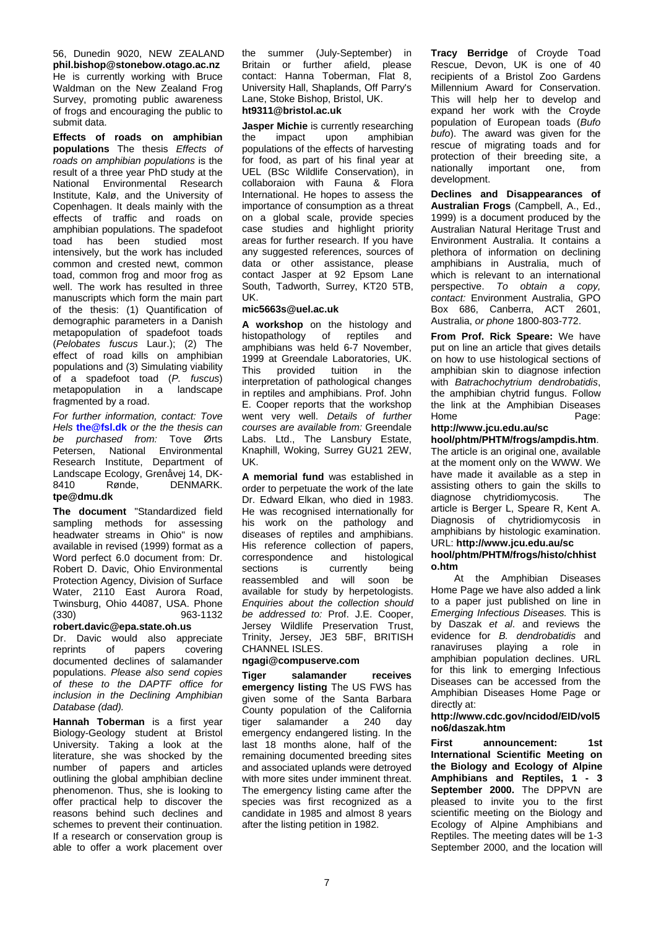56, Dunedin 9020, NEW ZEALAND **phil.bishop@stonebow.otago.ac.nz** He is currently working with Bruce Waldman on the New Zealand Frog Survey, promoting public awareness of frogs and encouraging the public to submit data.

**Effects of roads on amphibian populations** The thesis *Effects of roads on amphibian populations* is the result of a three year PhD study at the National Environmental Research Institute, Kalø, and the University of Copenhagen. It deals mainly with the effects of traffic and roads on amphibian populations. The spadefoot toad has been studied most intensively, but the work has included common and crested newt, common toad, common frog and moor frog as well. The work has resulted in three manuscripts which form the main part of the thesis: (1) Quantification of demographic parameters in a Danish metapopulation of spadefoot toads (*Pelobates fuscus* Laur.); (2) The effect of road kills on amphibian populations and (3) Simulating viability of a spadefoot toad (*P. fuscus*) metapopulation in fragmented by a road.

*For further information, contact: Tove Hels* **the@fsl.dk** *or the the thesis can be purchased from:* Tove Ørts Petersen, National Environmental Research Institute, Department of Landscape Ecology, Grenåvej 14, DK-<br>8410 Rønde. DENMARK. 8410 Rønde, DENMARK. **tpe@dmu.dk**

**The document** "Standardized field sampling methods for assessing headwater streams in Ohio" is now available in revised (1999) format as a Word perfect 6.0 document from: Dr. Robert D. Davic, Ohio Environmental Protection Agency, Division of Surface Water, 2110 East Aurora Road, Twinsburg, Ohio 44087, USA. Phone (330) 963-1132

# **robert.davic@epa.state.oh.us**

Dr. Davic would also appreciate<br>reprints of papers covering covering documented declines of salamander populations. *Please also send copies of these to the DAPTF office for inclusion in the Declining Amphibian Database (dad).*

**Hannah Toberman** is a first year Biology-Geology student at Bristol University. Taking a look at the literature, she was shocked by the number of papers and articles outlining the global amphibian decline phenomenon. Thus, she is looking to offer practical help to discover the reasons behind such declines and schemes to prevent their continuation. If a research or conservation group is able to offer a work placement over the summer (July-September) in Britain or further afield, please contact: Hanna Toberman, Flat 8, University Hall, Shaplands, Off Parry's Lane, Stoke Bishop, Bristol, UK. **ht9311@bristol.ac.uk**

**Jasper Michie** is currently researching<br>the impact upon amphibian the impact upon amphibian populations of the effects of harvesting for food, as part of his final year at UEL (BSc Wildlife Conservation), in collaboraion with Fauna & Flora International. He hopes to assess the importance of consumption as a threat on a global scale, provide species case studies and highlight priority areas for further research. If you have any suggested references, sources of data or other assistance, please contact Jasper at 92 Epsom Lane South, Tadworth, Surrey, KT20 5TB, UK.

# **mic5663s@uel.ac.uk**

**A workshop** on the histology and histopathology of reptiles and amphibians was held 6-7 November, 1999 at Greendale Laboratories, UK. This provided tuition in the interpretation of pathological changes in reptiles and amphibians. Prof. John E. Cooper reports that the workshop went very well. Details of further *courses are available from:* Greendale Labs. Ltd., The Lansbury Estate, Knaphill, Woking, Surrey GU21 2EW, UK.

**A memorial fund** was established in order to perpetuate the work of the late Dr. Edward Elkan, who died in 1983. He was recognised internationally for his work on the pathology and diseases of reptiles and amphibians. His reference collection of papers,<br>correspondence and histological correspondence and histological<br>sections is currently being currently reassembled and will soon be available for study by herpetologists. *Enquiries about the collection should be addressed to:* Prof. J.E. Cooper, Jersey Wildlife Preservation Trust, Trinity, Jersey, JE3 5BF, BRITISH CHANNEL ISLES.

# **ngagi@compuserve.com**

**Tiger salamander receives emergency listing** The US FWS has given some of the Santa Barbara County population of the California tiger salamander a 240 day emergency endangered listing. In the last 18 months alone, half of the remaining documented breeding sites and associated uplands were detroyed with more sites under imminent threat. The emergency listing came after the species was first recognized as a candidate in 1985 and almost 8 years after the listing petition in 1982.

**Tracy Berridge** of Croyde Toad Rescue, Devon, UK is one of 40 recipients of a Bristol Zoo Gardens Millennium Award for Conservation. This will help her to develop and expand her work with the Croyde population of European toads (*Bufo bufo*). The award was given for the rescue of migrating toads and for protection of their breeding site, a<br>nationally important one. from important one, development.

**Declines and Disappearances of Australian Frogs** (Campbell, A., Ed., 1999) is a document produced by the Australian Natural Heritage Trust and Environment Australia. It contains a plethora of information on declining amphibians in Australia, much of which is relevant to an international perspective. *To obtain a copy, contact:* Environment Australia, GPO Box 686, Canberra, ACT 2601, Australia, *or phone* 1800-803-772.

**From Prof. Rick Speare:** We have put on line an article that gives details on how to use histological sections of amphibian skin to diagnose infection with *Batrachochytrium dendrobatidis*, the amphibian chytrid fungus. Follow the link at the Amphibian Diseases Home Page:

# **http://www.jcu.edu.au/sc**

**hool/phtm/PHTM/frogs/ampdis.htm**. The article is an original one, available at the moment only on the WWW. We have made it available as a step in assisting others to gain the skills to<br>diagnose chytridiomycosis The diagnose chytridiomycosis. article is Berger L, Speare R, Kent A. Diagnosis of chytridiomycosis in amphibians by histologic examination. URL: **http://www.jcu.edu.au/sc**

# **hool/phtm/PHTM/frogs/histo/chhist o.htm**

At the Amphibian Diseases Home Page we have also added a link to a paper just published on line in *Emerging Infectious Diseases.* This is by Daszak *et al*. and reviews the evidence for *B. dendrobatidis* and ranaviruses playing a role in amphibian population declines. URL for this link to emerging Infectious Diseases can be accessed from the Amphibian Diseases Home Page or directly at:

# **http://www.cdc.gov/ncidod/EID/vol5 no6/daszak.htm**

First announcement: 1st **International Scientific Meeting on the Biology and Ecology of Alpine Amphibians and Reptiles, 1 - 3 September 2000.** The DPPVN are pleased to invite you to the first scientific meeting on the Biology and Ecology of Alpine Amphibians and Reptiles. The meeting dates will be 1-3 September 2000, and the location will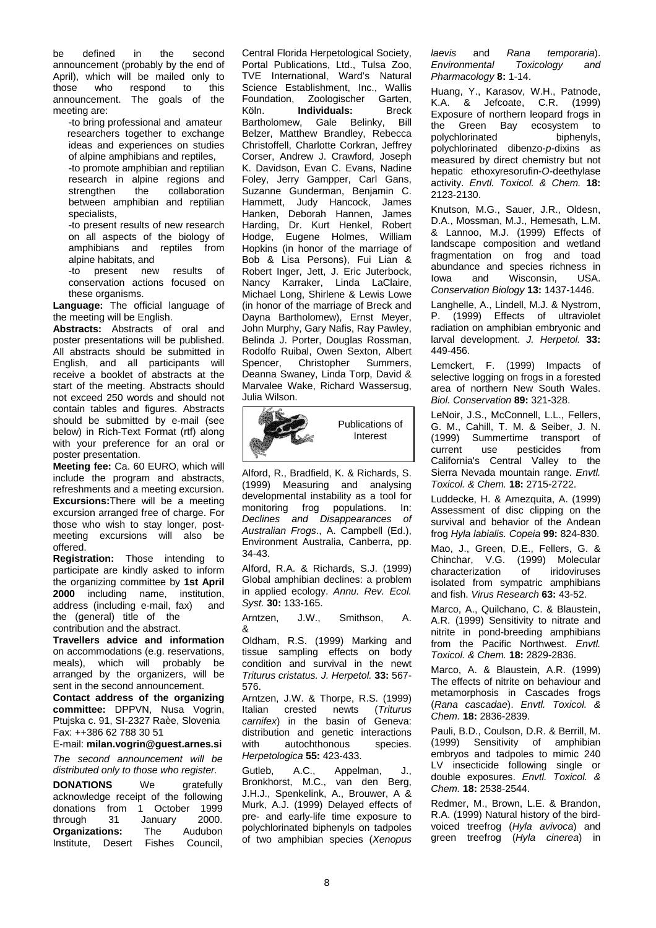be defined in the second announcement (probably by the end of April), which will be mailed only to<br>those who respond to this respond announcement. The goals of the meeting are:

-to bring professional and amateur researchers together to exchange ideas and experiences on studies of alpine amphibians and reptiles, -to promote amphibian and reptilian research in alpine regions and<br>strengthen the collaboration collaboration between amphibian and reptilian specialists,

-to present results of new research on all aspects of the biology of amphibians and reptiles from alpine habitats, and

-to present new results of conservation actions focused on these organisms.

**Language:** The official language of the meeting will be English.

**Abstracts:** Abstracts of oral and poster presentations will be published. All abstracts should be submitted in English, and all participants will receive a booklet of abstracts at the start of the meeting. Abstracts should not exceed 250 words and should not contain tables and figures. Abstracts should be submitted by e-mail (see below) in Rich-Text Format (rtf) along with your preference for an oral or poster presentation.

**Meeting fee:** Ca. 60 EURO, which will include the program and abstracts, refreshments and a meeting excursion. **Excursions:**There will be a meeting excursion arranged free of charge. For those who wish to stay longer, postmeeting excursions will also be offered.

**Registration:** Those intending to participate are kindly asked to inform the organizing committee by **1st April 2000** including name, institution, address (including e-mail, fax) and the (general) title of the contribution and the abstract.

**Travellers advice and information** on accommodations (e.g. reservations, meals), which will probably be arranged by the organizers, will be sent in the second announcement.

**Contact address of the organizing committee:** DPPVN, Nusa Vogrin, Ptujska c. 91, SI-2327 Raèe, Slovenia Fax: ++386 62 788 30 51

E-mail: **milan.vogrin@guest.arnes.si**

*The second announcement will be distributed only to those who register.*

**DONATIONS** We gratefully acknowledge receipt of the following donations from 1 October 1999<br>through 31 January 2000. through 31 January **Organizations:** The Audubon Institute, Desert Fishes Council,

Central Florida Herpetological Society, Portal Publications, Ltd., Tulsa Zoo, TVE International, Ward's Natural Science Establishment, Inc., Wallis<br>Foundation, Zoologischer Garten, Foundation, Zoologischer Garten,<br>Köln. **Individuals:** Breck **Individuals:** Bartholomew, Gale Belinky, Bill Belzer, Matthew Brandley, Rebecca Christoffell, Charlotte Corkran, Jeffrey Corser, Andrew J. Crawford, Joseph K. Davidson, Evan C. Evans, Nadine Foley, Jerry Gampper, Carl Gans, Suzanne Gunderman, Benjamin C. Hammett, Judy Hancock, James Hanken, Deborah Hannen, James Harding, Dr. Kurt Henkel, Robert Hodge, Eugene Holmes, William Hopkins (in honor of the marriage of Bob & Lisa Persons), Fui Lian & Robert Inger, Jett, J. Eric Juterbock, Nancy Karraker, Linda LaClaire, Michael Long, Shirlene & Lewis Lowe (in honor of the marriage of Breck and Dayna Bartholomew), Ernst Meyer, John Murphy, Gary Nafis, Ray Pawley, Belinda J. Porter, Douglas Rossman, Rodolfo Ruibal, Owen Sexton, Albert<br>Spencer, Christopher Summers, Christopher Deanna Swaney, Linda Torp, David & Marvalee Wake, Richard Wassersug, Julia Wilson.



Alford, R., Bradfield, K. & Richards, S. (1999) Measuring and analysing developmental instability as a tool for monitoring frog populations. In: *Declines and Disappearances of Australian Frogs*., A. Campbell (Ed.), Environment Australia, Canberra, pp. 34-43.

Alford, R.A. & Richards, S.J. (1999) Global amphibian declines: a problem in applied ecology. *Annu. Rev. Ecol. Syst.* **30:** 133-165.

Arntzen, J.W., Smithson, A. &

Oldham, R.S. (1999) Marking and tissue sampling effects on body condition and survival in the newt *Triturus cristatus. J. Herpetol.* **33:** 567- 576.

Arntzen, J.W. & Thorpe, R.S. (1999) Italian crested newts (*Triturus carnifex*) in the basin of Geneva: distribution and genetic interactions<br>with autochthonous species. autochthonous species. *Herpetologica* **55:** 423-433.

Gutleb, A.C., Appelman, J., Bronkhorst, M.C., van den Berg, J.H.J., Spenkelink, A., Brouwer, A & Murk, A.J. (1999) Delayed effects of pre- and early-life time exposure to polychlorinated biphenyls on tadpoles of two amphibian species (*Xenopus*  *laevis* and *Rana temporaria*). *Environmental Toxicology and Pharmacology* **8:** 1-14.

Huang, Y., Karasov, W.H., Patnode, K.A. & Jefcoate, C.R. (1999) Exposure of northern leopard frogs in<br>the Green Bay ecosystem to Green Bay ecosystem to<br>hlorinated biphenyls, polychlorinated polychlorinated dibenzo-*p*-dixins as measured by direct chemistry but not hepatic ethoxyresorufin-*O*-deethylase activity. *Envtl. Toxicol. & Chem.* **18:** 2123-2130.

Knutson, M.G., Sauer, J.R., Oldesn, D.A., Mossman, M.J., Hemesath, L.M. & Lannoo, M.J. (1999) Effects of landscape composition and wetland fragmentation on frog and toad abundance and species richness in<br>lowa and Wisconsin. USA. Wisconsin, *Conservation Biology* **13:** 1437-1446.

Langhelle, A., Lindell, M.J. & Nystrom, P. (1999) Effects of ultraviolet radiation on amphibian embryonic and larval development. *J. Herpetol.* **33:**  449-456.

Lemckert, F. (1999) Impacts of selective logging on frogs in a forested area of northern New South Wales. *Biol. Conservation* **89:** 321-328.

LeNoir, J.S., McConnell, L.L., Fellers, G. M., Cahill, T. M. & Seiber, J. N. (1999) Summertime transport of current use pesticides from California's Central Valley to the Sierra Nevada mountain range. *Envtl. Toxicol. & Chem.* **18:** 2715-2722.

Luddecke, H. & Amezquita, A. (1999) Assessment of disc clipping on the survival and behavior of the Andean frog *Hyla labialis. Copeia* **99:** 824-830.

Mao, J., Green, D.E., Fellers, G. & Chinchar, V.G. (1999) Molecular characterization of iridoviruses isolated from sympatric amphibians and fish. *Virus Research* **63:** 43-52.

Marco, A., Quilchano, C. & Blaustein, A.R. (1999) Sensitivity to nitrate and nitrite in pond-breeding amphibians from the Pacific Northwest. *Envtl. Toxicol. & Chem.* **18:** 2829-2836.

Marco, A. & Blaustein, A.R. (1999) The effects of nitrite on behaviour and metamorphosis in Cascades frogs (*Rana cascadae*). *Envtl. Toxicol. & Chem.* **18:** 2836-2839.

Pauli, B.D., Coulson, D.R. & Berrill, M. (1999) Sensitivity of amphibian embryos and tadpoles to mimic 240 LV insecticide following single or double exposures. *Envtl. Toxicol. & Chem.* **18:** 2538-2544.

Redmer, M., Brown, L.E. & Brandon, R.A. (1999) Natural history of the birdvoiced treefrog (*Hyla avivoca*) and green treefrog (*Hyla cinerea*) in